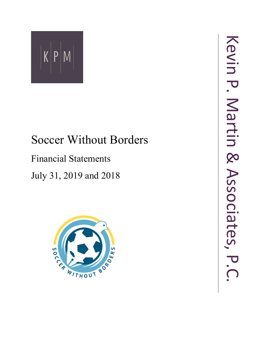

# Soccer Without Borders

# Financial Statement s

# July 31, 2019 and 2018

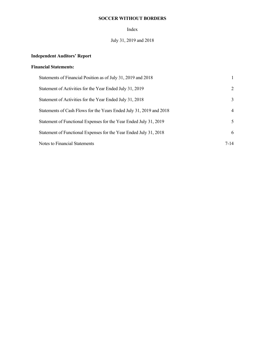# Index

# July 31, 2019 and 2018

# **Independent Auditors' Report**

#### **Financial Statements:**

| Statements of Financial Position as of July 31, 2019 and 2018       |      |
|---------------------------------------------------------------------|------|
| Statement of Activities for the Year Ended July 31, 2019            | 2    |
| Statement of Activities for the Year Ended July 31, 2018            | 3    |
| Statements of Cash Flows for the Years Ended July 31, 2019 and 2018 | 4    |
| Statement of Functional Expenses for the Year Ended July 31, 2019   | 5    |
| Statement of Functional Expenses for the Year Ended July 31, 2018   | 6    |
| Notes to Financial Statements                                       | 7-14 |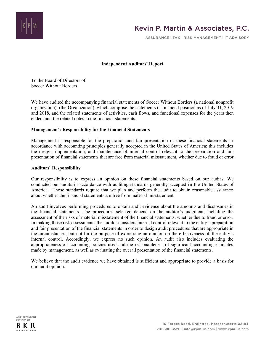

# Kevin P. Martin & Associates, P.C.

ASSURANCE | TAX | RISK MANAGEMENT | IT ADVISORY

#### **Independent Auditors' Report**

To the Board of Directors of Soccer Without Borders

We have audited the accompanying financial statements of Soccer Without Borders (a national nonprofit organization), (the Organization), which comprise the statements of financial position as of July 31, 2019 and 2018, and the related statements of activities, cash flows, and functional expenses for the years then ended, and the related notes to the financial statements.

#### **Management's Responsibility for the Financial Statements**

Management is responsible for the preparation and fair presentation of these financial statements in accordance with accounting principles generally accepted in the United States of America; this includes the design, implementation, and maintenance of internal control relevant to the preparation and fair presentation of financial statements that are free from material misstatement, whether due to fraud or error.

#### **Auditors' Responsibility**

Our responsibility is to express an opinion on these financial statements based on our audits. We conducted our audits in accordance with auditing standards generally accepted in the United States of America. Those standards require that we plan and perform the audit to obtain reasonable assurance about whether the financial statements are free from material misstatement.

An audit involves performing procedures to obtain audit evidence about the amounts and disclosur es in the financial statements. The procedures selected depend on the auditor's judgment, including the assessment of the risks of material misstatement of the financial statements, whether due to fraud or error. In making those risk assessments, the auditor considers internal control relevant to the entity's preparation and fair presentation of the financial statements in order to design audit procedures that are appropriate in the circumstances, but not for the purpose of expressing an opinion on the effectiveness of the entity's internal control. Accordingly, we express no such opinion. An audit also includes evaluating the appropriateness of accounting policies used and the reasonableness of significant accounting estimates made by management, as well as evaluating the overall presentation of the financial statements.

We believe that the audit evidence we have obtained is sufficient and appropri ate to provide a basis for our audit opinion.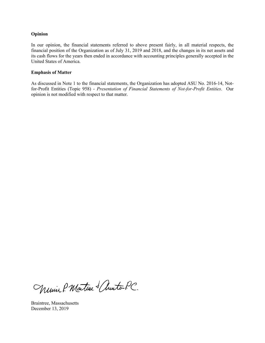#### **Opinion**

In our opinion, the financial statements referred to above present fairly, in all material respects, the financial position of the Organization as of July 31, 2019 and 2018, and the changes in its net assets and its cash flows for the years then ended in accordance with accounting principles generally accepted in the United States of America.

#### **Emphasis of Matter**

As discussed in Note 1 to the financial statements, the Organization has adopted ASU No. 2016-14, Notfor-Profit Entities (Topic 958) - *Presentation of Financial Statements of Not-for-Profit Entities*. Our opinion is not modified with respect to that matter.

Nuin P. Martin & Churton P.C.

Braintree, Massachusetts December 13, 2019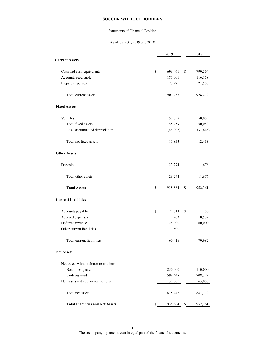#### Statements of Financial Position

# As of July 31, 2019 and 2018

|               |                                                          | 2018               |
|---------------|----------------------------------------------------------|--------------------|
|               |                                                          |                    |
|               |                                                          |                    |
|               |                                                          | 790,564<br>116,158 |
|               |                                                          | 21,550             |
|               |                                                          |                    |
| 903,737       |                                                          | 928,272            |
|               |                                                          |                    |
|               |                                                          | 50,059             |
|               |                                                          | 50,059             |
| (46,906)      |                                                          | (37, 646)          |
|               |                                                          |                    |
| 11,853        |                                                          | 12,413             |
|               |                                                          |                    |
| 23,274        |                                                          | 11,676             |
| 23,274        |                                                          | 11,676             |
| \$<br>938,864 | \$                                                       | 952,361            |
|               |                                                          |                    |
| \$<br>21,713  | \$                                                       | 450                |
| 203           |                                                          | 10,532             |
| 25,000        |                                                          | 60,000             |
| 13,500        |                                                          |                    |
| 60,416        |                                                          | 70,982             |
|               |                                                          |                    |
|               |                                                          |                    |
| 250,000       |                                                          | 110,000            |
| 598,448       |                                                          | 708,329            |
| 30,000        |                                                          | 63,050             |
| 878,448       |                                                          | 881,379            |
| \$<br>938,864 | \$                                                       | 952,361            |
| \$            | 2019<br>699,461<br>181,001<br>23,275<br>58,759<br>58,759 | \$                 |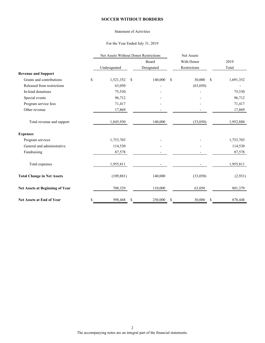#### Statement of Activities

|                                        | Net Assets Without Donor Restrictions |    | Net Assets |              |               |           |
|----------------------------------------|---------------------------------------|----|------------|--------------|---------------|-----------|
|                                        |                                       |    | Board      | With Donor   |               | 2019      |
|                                        | Undesignated                          |    | Designated | Restrictions |               | Total     |
| <b>Revenue and Support</b>             |                                       |    |            |              |               |           |
| Grants and contributions               | \$<br>1,521,352                       | \$ | 140,000    | \$<br>30,000 | <sup>\$</sup> | 1,691,352 |
| Released from restrictions             | 63,050                                |    |            | (63,050)     |               |           |
| In-kind donations                      | 75,530                                |    |            |              |               | 75,530    |
| Special events                         | 96,712                                |    |            |              |               | 96,712    |
| Program service fees                   | 71,417                                |    |            |              |               | 71,417    |
| Other revenue                          | 17,869                                |    |            |              |               | 17,869    |
| Total revenue and support              | 1,845,930                             |    | 140,000    | (33,050)     |               | 1,952,880 |
| <b>Expenses</b>                        |                                       |    |            |              |               |           |
| Program services                       | 1,753,703                             |    |            |              |               | 1,753,703 |
| General and administrative             | 114,530                               |    |            |              |               | 114,530   |
| Fundraising                            | 87,578                                |    |            |              |               | 87,578    |
| Total expenses                         | 1,955,811                             |    |            |              |               | 1,955,811 |
| <b>Total Change in Net Assets</b>      | (109, 881)                            |    | 140,000    | (33,050)     |               | (2,931)   |
| <b>Net Assets at Beginning of Year</b> | 708,329                               |    | 110,000    | 63,050       |               | 881,379   |
| Net Assets at End of Year              | \$<br>598,448                         | S  | 250,000    | \$<br>30,000 | S             | 878,448   |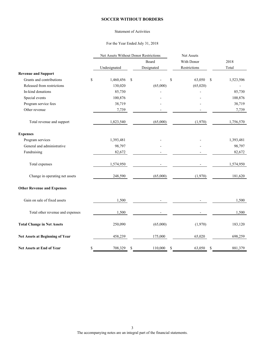#### Statement of Activities

|                                        | Net Assets Without Donor Restrictions |    | Net Assets |                          |               |           |
|----------------------------------------|---------------------------------------|----|------------|--------------------------|---------------|-----------|
|                                        |                                       |    | Board      | With Donor               |               | 2018      |
|                                        | Undesignated                          |    | Designated | Restrictions             |               | Total     |
| <b>Revenue and Support</b>             |                                       |    |            |                          |               |           |
| Grants and contributions               | \$<br>1,460,456                       | \$ |            | \$<br>63,050             | $\mathcal{S}$ | 1,523,506 |
| Released from restrictions             | 130,020                               |    | (65,000)   | (65,020)                 |               |           |
| In-kind donations                      | 85,730                                |    |            |                          |               | 85,730    |
| Special events                         | 100,876                               |    |            |                          |               | 100,876   |
| Program service fees                   | 38,719                                |    |            |                          |               | 38,719    |
| Other revenue                          | 7,739                                 |    |            |                          |               | 7,739     |
| Total revenue and support              | 1,823,540                             |    | (65,000)   | (1,970)                  |               | 1,756,570 |
| <b>Expenses</b>                        |                                       |    |            |                          |               |           |
| Program services                       | 1,393,481                             |    |            |                          |               | 1,393,481 |
| General and administrative             | 98,797                                |    |            |                          |               | 98,797    |
| Fundraising                            | 82,672                                |    |            |                          |               | 82,672    |
| Total expenses                         | 1,574,950                             |    |            |                          |               | 1,574,950 |
| Change in operating net assets         | 248,590                               |    | (65,000)   | (1,970)                  |               | 181,620   |
| <b>Other Revenue and Expenses</b>      |                                       |    |            |                          |               |           |
| Gain on sale of fixed assets           | 1,500                                 |    |            |                          |               | 1,500     |
| Total other revenue and expenses       | 1,500                                 |    |            | $\overline{\phantom{a}}$ |               | 1,500     |
| <b>Total Change in Net Assets</b>      | 250,090                               |    | (65,000)   | (1,970)                  |               | 183,120   |
| <b>Net Assets at Beginning of Year</b> | 458,239                               |    | 175,000    | 65,020                   |               | 698,259   |
| <b>Net Assets at End of Year</b>       | \$<br>708,329                         | \$ | 110,000    | \$<br>63,050             | \$            | 881,379   |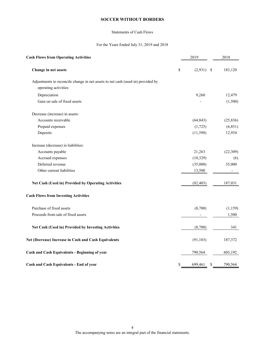#### Statements of Cash Flows

# For the Years Ended July 31, 2019 and 2018

| <b>Cash Flows from Operating Activities</b>                                     | 2019               | 2018 |           |
|---------------------------------------------------------------------------------|--------------------|------|-----------|
| Change in net assets                                                            | \$<br>$(2,931)$ \$ |      | 183,120   |
| Adjustments to reconcile change in net assets to net cash (used in) provided by |                    |      |           |
| operating activities:                                                           |                    |      |           |
| Depreciation                                                                    | 9,260              |      | 12,479    |
| Gain on sale of fixed assets                                                    |                    |      | (1,500)   |
| Decrease (increase) in assets:                                                  |                    |      |           |
| Accounts receivable                                                             | (64, 843)          |      | (25, 836) |
| Prepaid expenses                                                                | (1,725)            |      | (6, 851)  |
| Deposits                                                                        | (11, 598)          |      | 12,934    |
| Increase (decrease) in liabilities:                                             |                    |      |           |
| Accounts payable                                                                | 21,263             |      | (22, 309) |
| Accrued expenses                                                                | (10, 329)          |      | (6)       |
| Deferred revenue                                                                | (35,000)           |      | 35,000    |
| Other current liabilities                                                       | 13,500             |      |           |
| Net Cash (Used in) Provided by Operating Activities                             | (82, 403)          |      | 187,031   |
| <b>Cash Flows from Investing Activities</b>                                     |                    |      |           |
| Purchase of fixed assets                                                        | (8,700)            |      | (1,159)   |
| Proceeds from sale of fixed assets                                              |                    |      | 1,500     |
| Net Cash (Used in) Provided by Investing Activities                             | (8,700)            |      | 341       |
| Net (Decrease) Increase in Cash and Cash Equivalents                            | (91, 103)          |      | 187,372   |
| Cash and Cash Equivalents - Beginning of year                                   | 790,564            |      | 603,192   |
| Cash and Cash Equivalents - End of year                                         | \$<br>699,461      | \$   | 790,564   |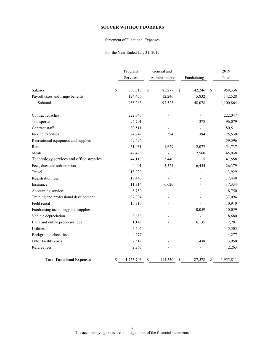# Statement of Functional Expenses

|                                         | Program         | General and    |              | 2019            |
|-----------------------------------------|-----------------|----------------|--------------|-----------------|
|                                         | Services        | Administrative | Fundraising  | Total           |
| Salaries                                | \$<br>830,813   | \$<br>85,277   | \$<br>42,246 | \$<br>958,336   |
| Payroll taxes and fringe benefits       | 124,450         | 12,246         | 5,832        | 142,528         |
| Subtotal                                | 955,263         | 97,523         | 48,078       | 1,100,864       |
| Contract coaches                        | 222,047         |                |              | 222,047         |
| Transportation                          | 95,701          |                | 378          | 96,079          |
| Contract staff                          | 80,511          |                |              | 80,511          |
| In-kind expenses                        | 74,742          | 394            | 394          | 75,530          |
| Recreational equipment and supplies     | 59,596          |                |              | 59,596          |
| Rent                                    | 51,031          | 1,629          | 2,077        | 54,737          |
| Meals                                   | 42,478          |                | 2,560        | 45,038          |
| Technology services and office supplies | 44,113          | 3,440          | 5            | 47,558          |
| Fees, dues and subscriptions            | 4,401           | 5,524          | 16,454       | 26,379          |
| Travel                                  | 13,929          |                |              | 13,929          |
| <b>Registration</b> fees                | 17,440          |                |              | 17,440          |
| Insurance                               | 11,314          | 6,020          |              | 17,334          |
| Accounting services                     | 8,750           |                |              | 8,750           |
| Training and professional development   | 37,094          |                |              | 37,094          |
| Field rental                            | 10,910          |                |              | 10,910          |
| Fundraising technology and supplies     |                 |                | 10,059       | 10,059          |
| Vehicle depreciation                    | 8,680           |                |              | 8,680           |
| Bank and online processor fees          | 1,146           |                | 6,135        | 7,281           |
| Utilities                               | 5,505           |                |              | 5,505           |
| Background check fees                   | 4,277           |                |              | 4,277           |
| Other facility costs                    | 2,512           |                | 1,438        | 3,950           |
| Referee fees                            | 2,263           |                |              | 2,263           |
| <b>Total Functional Expenses</b>        | \$<br>1,753,703 | \$<br>114,530  | \$<br>87,578 | \$<br>1,955,811 |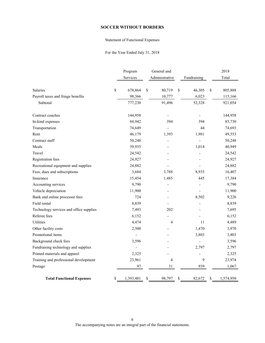# Statement of Functional Expenses

|                                         | Program         | General and    |                          | 2018            |
|-----------------------------------------|-----------------|----------------|--------------------------|-----------------|
|                                         | Services        | Administrative | Fundraising              | Total           |
| <b>Salaries</b>                         | \$<br>678,864   | \$<br>80,719   | \$<br>46,305             | \$<br>805,888   |
| Payroll taxes and fringe benefits       | 98,366          | 10,777         | 6,023                    | 115,166         |
| Subtotal                                | 777,230         | 91,496         | 52,328                   | 921,054         |
| Contract coaches                        | 144,958         |                |                          | 144,958         |
| In-kind expenses                        | 84,942          | 394            | 394                      | 85,730          |
| Transportation                          | 74,649          |                | 44                       | 74,693          |
| Rent                                    | 46,179          | 1,393          | 1,981                    | 49,553          |
| Contract staff                          | 50,248          |                | $\overline{\phantom{a}}$ | 50,248          |
| Meals                                   | 39,935          |                | 1,014                    | 40,949          |
| Travel                                  | 24,542          |                |                          | 24,542          |
| <b>Registration</b> fees                | 24,927          |                |                          | 24,927          |
| Recreational equipment and supplies     | 24,882          |                |                          | 24,882          |
| Fees, dues and subscriptions            | 3,684           | 3,788          | 8,935                    | 16,407          |
| Insurance                               | 15,454          | 1,485          | 445                      | 17,384          |
| Accounting services                     | 9,790           |                |                          | 9,790           |
| Vehicle depreciation                    | 11,900          |                |                          | 11,900          |
| Bank and online processor fees          | 724             |                | 8,502                    | 9,226           |
| Field rental                            | 8,839           |                |                          | 8,839           |
| Technology services and office supplies | 7,493           | 202            |                          | 7,695           |
| Referee fees                            | 6,152           |                |                          | 6,152           |
| Utilities                               | 4,474           | 4              | 11                       | 4,489           |
| Other facility costs                    | 2,500           |                | 1,470                    | 3,970           |
| Promotional items                       |                 |                | 3,803                    | 3,803           |
| Background check fees                   | 3,596           |                |                          | 3,596           |
| Fundraising technology and supplies     |                 |                | 2,797                    | 2,797           |
| Printed materials and apparel           | 2,325           |                |                          | 2,325           |
| Training and professional development   | 23,961          | 4              | 9                        | 23,974          |
| Postage                                 | 97              | 31             | 939                      | 1,067           |
| <b>Total Functional Expenses</b>        | \$<br>1,393,481 | \$<br>98,797   | \$<br>82,672             | \$<br>1,574,950 |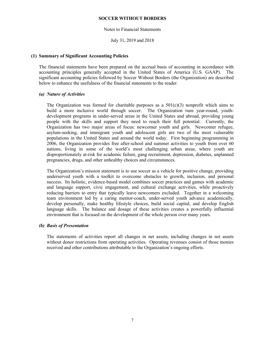#### Notes to Financial Statements

July 31, 2019 and 2018

#### **(1) Summary of Significant Accounting Policies**

The financial statements have been prepared on the accrual basis of accounting in accordance with accounting principles generally accepted in the United States of America (U.S. GAAP). The significant accounting policies followed by Soccer Without Borders (the Organization) are described below to enhance the usefulness of the financial statements to the reader.

#### *(a) Nature of Activities*

The Organization was formed for charitable purposes as a  $501(c)(3)$  nonprofit which aims to build a more inclusive world through soccer. The Organization runs year-round, youthdevelopment programs in under-served areas in the United States and abroad, providing young people with the skills and support they need to reach their full potential. Currently, the Organization has two major areas of focus: newcomer youth and girls. Newcomer refugee, asylum-seeking, and immigrant youth and adolescent girls are two of the most vulnerable populations in the United States and around the world today. First beginning programming in 2006, the Organization provides free after-school and summer activities to youth from over 60 nations, living in some of the world's most challenging urban areas, where youth are disproportionately at-risk for academic failure, gang recruitment, depression, diabetes, unplanned pregnancies, drugs, and other unhealthy choices and circumstances.

The Organization's mission statement is to use soccer as a vehicle for positive change, providing underserved youth with a toolkit to overcome obstacles to growth, inclusion, and personal success. Its holistic, evidence-based model combines soccer practices and games with academic and language support, civic engagement, and cultural exchange activities, while proactively reducing barriers to entry that typically leave newcomers excluded. Together in a welcoming team environment led by a caring mentor-coach, under-served youth advance academically, develop personally, make healthy lifestyle choices, build social capital, and develop English language skills. The balance and dosage of these activities creates a powerfully influential environment that is focused on the development of the whole person over many years.

#### *(b) Basis of Presentation*

The statements of activities report all changes in net assets, including changes in net assets without donor restrictions from operating activities. Operating revenues consist of those monies received and other contributions attributable to the Organization's ongoing efforts.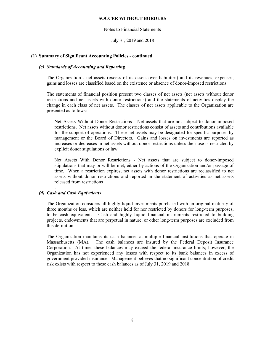#### Notes to Financial Statements

July 31, 2019 and 2018

#### **(1) Summary of Significant Accounting Policies - continued**

### *(c) Standards of Accounting and Reporting*

The Organization's net assets (excess of its assets over liabilities) and its revenues, expenses, gains and losses are classified based on the existence or absence of donor-imposed restrictions.

The statements of financial position present two classes of net assets (net assets without donor restrictions and net assets with donor restrictions) and the statements of activities display the change in each class of net assets. The classes of net assets applicable to the Organization are presented as follows:

Net Assets Without Donor Restrictions - Net assets that are not subject to donor imposed restrictions. Net assets without donor restrictions consist of assets and contributions available for the support of operations. These net assets may be designated for specific purposes by management or the Board of Directors. Gains and losses on investments are reported as increases or decreases in net assets without donor restrictions unless their use is restricted by explicit donor stipulations or law.

Net Assets With Donor Restrictions - Net assets that are subject to donor-imposed stipulations that may or will be met, either by actions of the Organization and/or passage of time. When a restriction expires, net assets with donor restrictions are reclassified to net assets without donor restrictions and reported in the statement of activities as net assets released from restrictions

#### . *(d) Cash and Cash Equivalents*

The Organization considers all highly liquid investments purchased with an original maturity of three months or less, which are neither held for nor restricted by donors for long-term purposes, to be cash equivalents. Cash and highly liquid financial instruments restricted to building projects, endowments that are perpetual in nature, or other long-term purposes are excluded from this definition.

The Organization maintains its cash balances at multiple financial institutions that operate in Massachusetts (MA). The cash balances are insured by the Federal Deposit Insurance Corporation. At times these balances may exceed the federal insurance limits; however, the Organization has not experienced any losses with respect to its bank balances in excess of government provided insurance. Management believes that no significant concentration of credit risk exists with respect to these cash balances as of July 31, 2019 and 2018.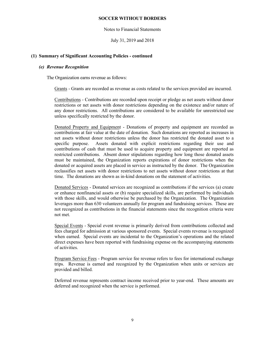Notes to Financial Statements

July 31, 2019 and 2018

#### **(1) Summary of Significant Accounting Policies - continued**

#### *(e) Revenue Recognition*

The Organization earns revenue as follows:

Grants - Grants are recorded as revenue as costs related to the services provided are incurred.

Contributions - Contributions are recorded upon receipt or pledge as net assets without donor restrictions or net assets with donor restrictions depending on the existence and/or nature of any donor restrictions. All contributions are considered to be available for unrestricted use unless specifically restricted by the donor.

Donated Property and Equipment - Donations of property and equipment are recorded as contributions at fair value at the date of donation. Such donations are reported as increases in net assets without donor restrictions unless the donor has restricted the donated asset to a specific purpose. Assets donated with explicit restrictions regarding their use and contributions of cash that must be used to acquire property and equipment are reported as restricted contributions. Absent donor stipulations regarding how long those donated assets must be maintained, the Organization reports expirations of donor restrictions when the donated or acquired assets are placed in service as instructed by the donor. The Organization reclassifies net assets with donor restrictions to net assets without donor restrictions at that time. The donations are shown as in-kind donations on the statement of activities.

Donated Services - Donated services are recognized as contributions if the services (a) create or enhance nonfinancial assets or (b) require specialized skills, are performed by individuals with those skills, and would otherwise be purchased by the Organization. The Organization leverages more than 630 volunteers annually for program and fundraising services. These are not recognized as contributions in the financial statements since the recognition criteria were not met.

Special Events - Special event revenue is primarily derived from contributions collected and fees charged for admission at various sponsored events. Special events revenue is recognized when earned. Special events are incidental to the Organization's operations and the related direct expenses have been reported with fundraising expense on the accompanying statements of activities.

Program Service Fees - Program service fee revenue refers to fees for international exchange trips. Revenue is earned and recognized by the Organization when units or services are provided and billed.

Deferred revenue represents contract income received prior to year-end. These amounts are deferred and recognized when the service is performed.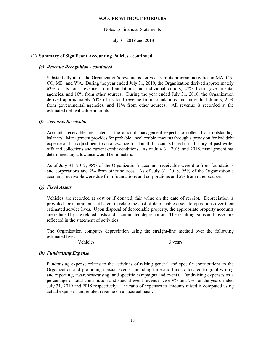#### Notes to Financial Statements

July 31, 2019 and 2018

#### **(1) Summary of Significant Accounting Policies - continued**

#### *(e) Revenue Recognition - continued*

Substantially all of the Organization's revenue is derived from its program activities in MA, CA, CO, MD, and WA. During the year ended July 31, 2019, the Organization derived approximately 63% of its total revenue from foundations and individual donors, 27% from governmental agencies, and 10% from other sources. During the year ended July 31, 2018, the Organization derived approximately 64% of its total revenue from foundations and individual donors, 25% from governmental agencies, and 11% from other sources. All revenue is recorded at the estimated net realizable amounts.

#### *(f) Accounts Receivable*

Accounts receivable are stated at the amount management expects to collect from outstanding balances. Management provides for probable uncollectible amounts through a provision for bad debt expense and an adjustment to an allowance for doubtful accounts based on a history of past writeoffs and collections and current credit conditions. As of July 31, 2019 and 2018, management has determined any allowance would be immaterial.

As of July 31, 2019, 98% of the Organization's accounts receivable were due from foundations and corporations and 2% from other sources. As of July 31, 2018, 95% of the Organization's accounts receivable were due from foundations and corporations and 5% from other sources.

#### *(g) Fixed Assets*

Vehicles are recorded at cost or if donated, fair value on the date of receipt. Depreciation is provided for in amounts sufficient to relate the cost of depreciable assets to operations over their estimated service lives. Upon disposal of depreciable property, the appropriate property accounts are reduced by the related costs and accumulated depreciation. The resulting gains and losses are reflected in the statement of activities.

The Organization computes depreciation using the straight-line method over the following estimated lives:

Vehicles 3 years 3 years

#### *(h) Fundraising Expense*

Fundraising expense relates to the activities of raising general and specific contributions to the Organization and promoting special events, including time and funds allocated to grant-writing and reporting, awareness-raising, and specific campaigns and events. Fundraising expenses as a percentage of total contribution and special event revenue were 9% and 7% for the years ended July 31, 2019 and 2018 respectively. The ratio of expenses to amounts raised is computed using actual expenses and related revenue on an accrual basis**.**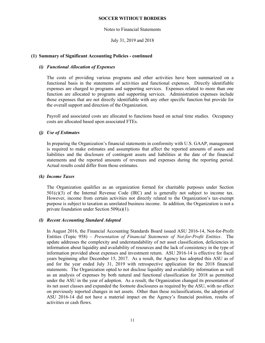#### Notes to Financial Statements

July 31, 2019 and 2018

#### **(1) Summary of Significant Accounting Policies - continued**

#### *(i) Functional Allocation of Expenses*

The costs of providing various programs and other activities have been summarized on a functional basis in the statements of activities and functional expenses. Directly identifiable expenses are charged to programs and supporting services. Expenses related to more than one function are allocated to programs and supporting services. Administration expenses include those expenses that are not directly identifiable with any other specific function but provide for the overall support and direction of the Organization.

Payroll and associated costs are allocated to functions based on actual time studies. Occupancy costs are allocated based upon associated FTEs.

### *(j) Use of Estimates*

In preparing the Organization's financial statements in conformity with U.S. GAAP, management is required to make estimates and assumptions that affect the reported amounts of assets and liabilities and the disclosure of contingent assets and liabilities at the date of the financial statements and the reported amounts of revenues and expenses during the reporting period. Actual results could differ from those estimates.

#### *(k) Income Taxes*

The Organization qualifies as an organization formed for charitable purposes under Section  $501(c)(3)$  of the Internal Revenue Code (IRC) and is generally not subject to income tax. However, income from certain activities not directly related to the Organization's tax-exempt purpose is subject to taxation as unrelated business income. In addition, the Organization is not a private foundation under Section 509(a)(1).

#### *(l) Recent Accounting Standard Adopted*

In August 2016, the Financial Accounting Standards Board issued ASU 2016-14, Not-for-Profit Entities (Topic 958) – *Presentation of Financial Statements of Not-for-Profit Entities*. The update addresses the complexity and understandability of net asset classification, deficiencies in information about liquidity and availability of resources and the lack of consistency in the type of information provided about expenses and investment return. ASU 2016-14 is effective for fiscal years beginning after December 15, 2017. As a result, the Agency has adopted this ASU as of and for the year ended July 31, 2019 with retrospective application for the 2018 financial statements. The Organization opted to not disclose liquidity and availability information as well as an analysis of expenses by both natural and functional classification for 2018 as permitted under the ASU in the year of adoption. As a result, the Organization changed its presentation of its net asset classes and expanded the footnote disclosures as required by the ASU, with no effect on previously reported changes in net assets. Other than these reclassifications, the adoption of ASU 2016-14 did not have a material impact on the Agency's financial position, results of activities or cash flows.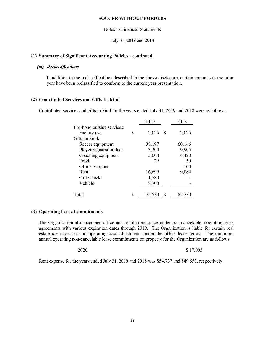Notes to Financial Statements

July 31, 2019 and 2018

#### **(1) Summary of Significant Accounting Policies - continued**

#### *(m) Reclassifications*

In addition to the reclassifications described in the above disclosure, certain amounts in the prior year have been reclassified to conform to the current year presentation.

#### **(2) Contributed Services and Gifts In-Kind**

Contributed services and gifts in-kind for the years ended July 31, 2019 and 2018 were as follows:

|                            | 2019         |   | 2018   |
|----------------------------|--------------|---|--------|
| Pro-bono outside services: |              |   |        |
| Facility use               | \$<br>2,025  | S | 2,025  |
| Gifts in kind:             |              |   |        |
| Soccer equipment           | 38,197       |   | 60,146 |
| Player registration fees   | 3,300        |   | 9,905  |
| Coaching equipment         | 5,000        |   | 4,420  |
| Food                       | 29           |   | 50     |
| Office Supplies            |              |   | 100    |
| Rent                       | 16,699       |   | 9,084  |
| <b>Gift Checks</b>         | 1,580        |   |        |
| Vehicle                    | 8,700        |   |        |
| Total                      | \$<br>75,530 | S | 85,730 |

#### **(3) Operating Lease Commitments**

The Organization also occupies office and retail store space under non-cancelable, operating lease agreements with various expiration dates through 2019. The Organization is liable for certain real estate tax increases and operating cost adjustments under the office lease terms. The minimum annual operating non-cancelable lease commitments on property for the Organization are as follows:

#### 2020 \$ 17,093

Rent expense for the years ended July 31, 2019 and 2018 was \$54,737 and \$49,553, respectively.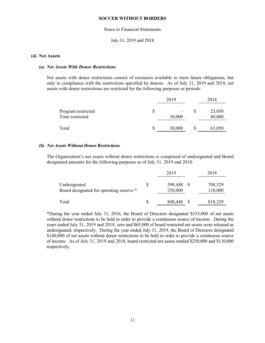#### Notes to Financial Statements

#### July 31, 2019 and 2018

#### **(4) Net Assets**

#### *(a) Net Assets With Donor Restrictions*

Net assets with donor restrictions consist of resources available to meet future obligations, but only in compliance with the restrictions specified by donors. As of July 31, 2019 and 2018, net assets with donor restrictions are restricted for the following purposes or periods:

|                                       |   | 2019   | 2018             |
|---------------------------------------|---|--------|------------------|
| Program restricted<br>Time restricted | S | 30,000 | 23,050<br>40,000 |
| Total                                 | Ъ | 30,000 | 63,050           |

#### *(b) Net Assets Without Donor Restrictions*

The Organization's net assets without donor restrictions is comprised of undesignated and Board designated amounts for the following purposes as of July 31, 2019 and 2018:

|                                                          | 2019               | 2018               |
|----------------------------------------------------------|--------------------|--------------------|
| Undesignated<br>Board designated for operating reserve * | 598,448<br>250,000 | 708,329<br>110,000 |
| Total                                                    | 848,448            | 818,329            |

\*During the year ended July 31, 2016, the Board of Directors designated \$335,000 of net assets without donor restrictions to be held in order to provide a continuous source of income. During the years ended July 31, 2019 and 2018, zero and \$65,000 of board restricted net assets were released as undesignated, respectively. During the year ended July 31, 2019, the Board of Directors designated \$140,000 of net assets without donor restrictions to be held in order to provide a continuous source of income. As of July 31, 2019 and 2018, board restricted net assets totaled \$250,000 and \$110,000 respectively.